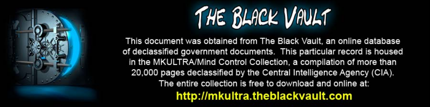

This document was obtained from The Black Vault, an online database of declassified government documents. This particular record is housed in the MKULTRA/Mind Control Collection, a compilation of more than 20,000 pages declassified by the Central Intelligence Agency (CIA). The entire collection is free to download and online at: http://mkultra.theblackvault.com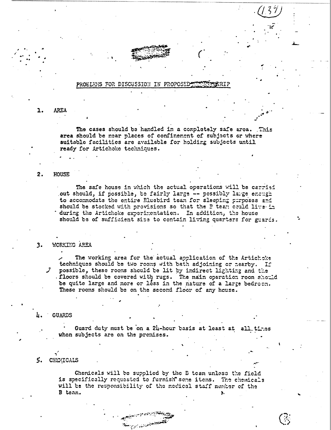## PROELENS FOR DISCUSSION IN PROPOSED

**AREA** 1.

> The cases should be handled in a completely safe area. This area should be near places of confinement of subjects or where suitable facilities are available for holding subjects until ready for Artichoke techniques.

### **HOUSE** 2.

The safe house in which the actual operations will be carrisi out should, if possible, be fairly large -- possibly large enough to accommodate the entire Eluebird team for sleeping purposes and should be stocked with provisions so that the P tean could live in during the Artichoke experimentation. In addition, the house should be of sufficient size to contain living quarters for guards.

WORKING AREA  $3.$ 

> The working area for the actual application of the Artichoke techniques should be two rooms with bath adjoining or nearby. If possible, these rooms should be lit by indirect lighting and the . floors should be covered with rugs. The main operation room should be quite large and more or less in the nature of a large bedroon. These rooms should be on the second floor of any house.

**GUARDS** 

Guard duty must be on a 24-hour basis at least at all times when subjects are on the premises.

#### 5. CHEMICALS

Chemicals will be supplied by the B team unless the field is specifically requested to furnish some items. The chemicals will be the responsibility of the medical staff member of the B team.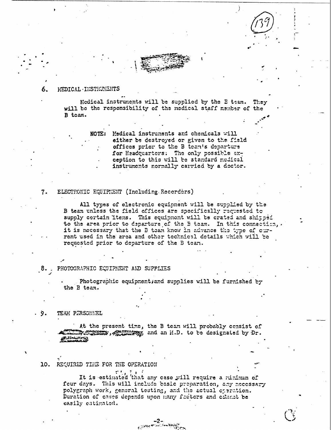## NEDICAL INSTRUMENTS

Medical instruments will be supplied by the E team. They will be the responsibility of the medical staff member of the B team.

> NOTE: Medical instruments and chemicals will either be destroyed or given to the field offices prior to the B team's departure for Headquarters: The only possible exception to this will be standard medical instruments normally carried by a doctor.

### ELECTRONIC EQUIPMENT (Including Recorders)  $7.$

All types of electronic equipment will be supplied by the B team unless the field offices are specifically requested to supply certain items. This equipment will be crated and shipped to the area prior to departure of the B team. In this connection, it is necessary that the B team know in advance the type of current used in the area and other technical details which will be requested prior to departure of the B tean.

8. PHOTOGRAPHIC EQUIPMENT AND SUPPLIES

Photographic equipment; and supplies will be furnished by the B team.

. 9. TEAM PERSONNEL

> At the present time, the B team will probably censist of where the second second in the second second in the second second second second second second second second second second second second second second second second second second second second second second second second se

# 10. REQUIRED THE FOR THE OPERATION

It is estimated that any case will require a minimum of four days. This will include basic preparation, any necessary polygraph work, general testing, and the actual operation. Duration of cases depends upon many factors and offenet be easily catimated.

౼2౼<br><sup>౿౿౹౾</sup>౼౼<sup>ౚ</sup>ౙౙౣ౼

 $\mathbf{a}$